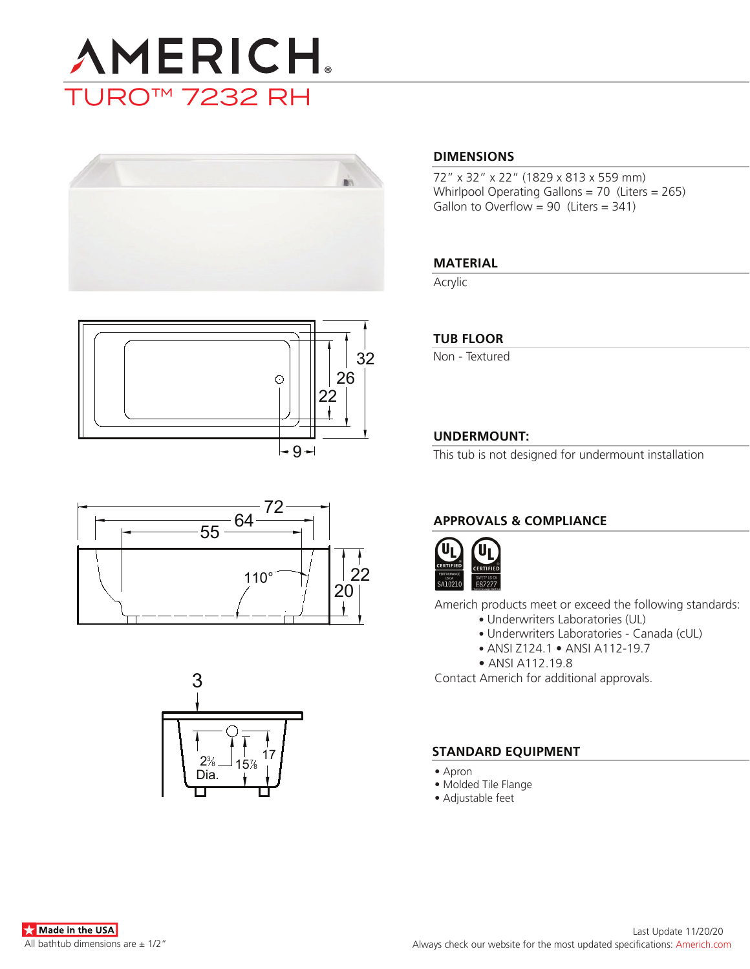









### **DIMENSIONS**

72" x 32" x 22" (1829 x 813 x 559 mm) Whirlpool Operating Gallons = 70 (Liters = 265) Gallon to Overflow =  $90$  (Liters =  $341$ )

# **MATERIAL**

Acrylic

### **TUB FLOOR**

Non - Textured

# **UNDERMOUNT:**

This tub is not designed for undermount installation

# **APPROVALS & COMPLIANCE**



Americh products meet or exceed the following standards:

- Underwriters Laboratories (UL)
	- Underwriters Laboratories Canada (cUL)
	- ANSI Z124.1 ANSI A112-19.7
- ANSI A112.19.8

Contact Americh for additional approvals.

### **STANDARD EQUIPMENT**

- Apron
- Molded Tile Flange
- Adjustable feet